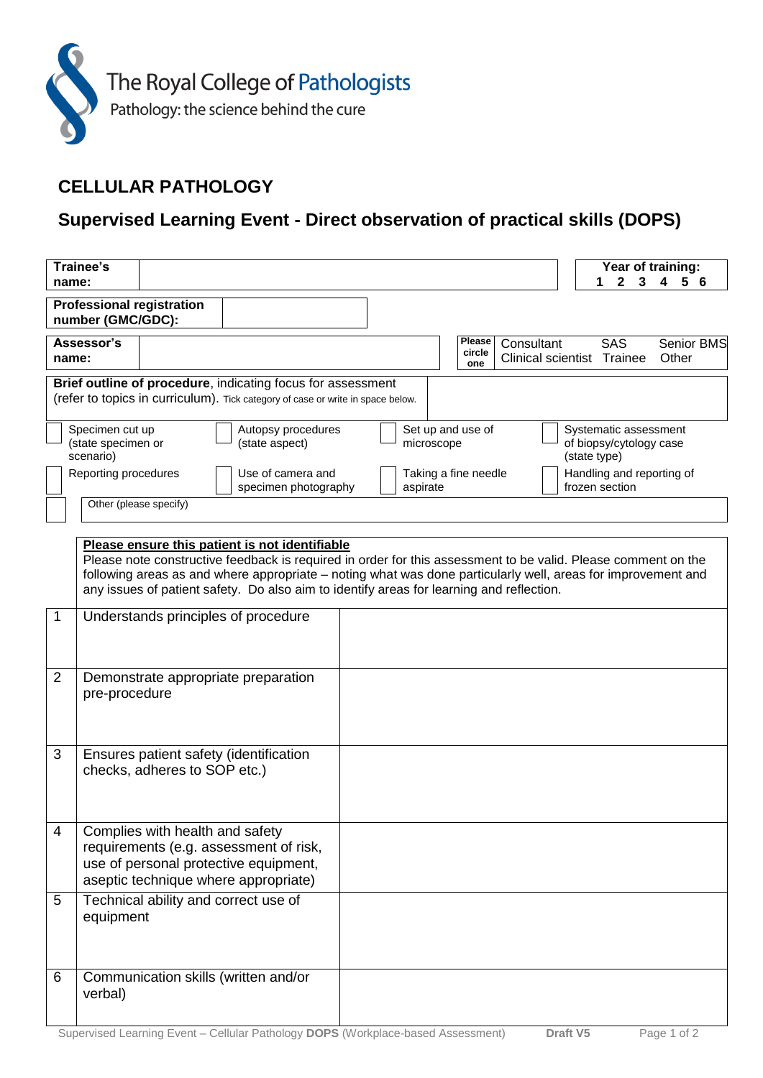

## **CELLULAR PATHOLOGY**

## **Supervised Learning Event - Direct observation of practical skills (DOPS)**

| name:                                                                                      | Trainee's                                                                                                                                                                                                                                                                                                                                                                   |                                                                                                          | Year of training:<br>$\mathbf{2}$<br>3<br>1<br>56<br>4 |
|--------------------------------------------------------------------------------------------|-----------------------------------------------------------------------------------------------------------------------------------------------------------------------------------------------------------------------------------------------------------------------------------------------------------------------------------------------------------------------------|----------------------------------------------------------------------------------------------------------|--------------------------------------------------------|
|                                                                                            | <b>Professional registration</b><br>number (GMC/GDC):                                                                                                                                                                                                                                                                                                                       |                                                                                                          |                                                        |
| Assessor's<br>name:                                                                        |                                                                                                                                                                                                                                                                                                                                                                             | Please<br>Consultant<br><b>SAS</b><br>Senior BMS<br>circle<br>Clinical scientist Trainee<br>Other<br>one |                                                        |
|                                                                                            | Brief outline of procedure, indicating focus for assessment<br>(refer to topics in curriculum). Tick category of case or write in space below.                                                                                                                                                                                                                              |                                                                                                          |                                                        |
| Specimen cut up<br>Autopsy procedures<br>(state specimen or<br>(state aspect)<br>scenario) |                                                                                                                                                                                                                                                                                                                                                                             | Set up and use of<br>Systematic assessment<br>of biopsy/cytology case<br>microscope<br>(state type)      |                                                        |
|                                                                                            | Use of camera and<br>Reporting procedures<br>specimen photography<br>Other (please specify)                                                                                                                                                                                                                                                                                 | Taking a fine needle<br>aspirate                                                                         | Handling and reporting of<br>frozen section            |
|                                                                                            |                                                                                                                                                                                                                                                                                                                                                                             |                                                                                                          |                                                        |
|                                                                                            | Please ensure this patient is not identifiable<br>Please note constructive feedback is required in order for this assessment to be valid. Please comment on the<br>following areas as and where appropriate – noting what was done particularly well, areas for improvement and<br>any issues of patient safety. Do also aim to identify areas for learning and reflection. |                                                                                                          |                                                        |
| 1                                                                                          | Understands principles of procedure                                                                                                                                                                                                                                                                                                                                         |                                                                                                          |                                                        |
| $\overline{2}$                                                                             | Demonstrate appropriate preparation<br>pre-procedure                                                                                                                                                                                                                                                                                                                        |                                                                                                          |                                                        |
| 3                                                                                          | Ensures patient safety (identification<br>checks, adheres to SOP etc.)                                                                                                                                                                                                                                                                                                      |                                                                                                          |                                                        |
|                                                                                            | Complies with health and safety<br>requirements (e.g. assessment of risk,<br>use of personal protective equipment,<br>aseptic technique where appropriate)                                                                                                                                                                                                                  |                                                                                                          |                                                        |
| 5                                                                                          | Technical ability and correct use of<br>equipment                                                                                                                                                                                                                                                                                                                           |                                                                                                          |                                                        |
| 6                                                                                          | Communication skills (written and/or<br>verbal)                                                                                                                                                                                                                                                                                                                             |                                                                                                          |                                                        |